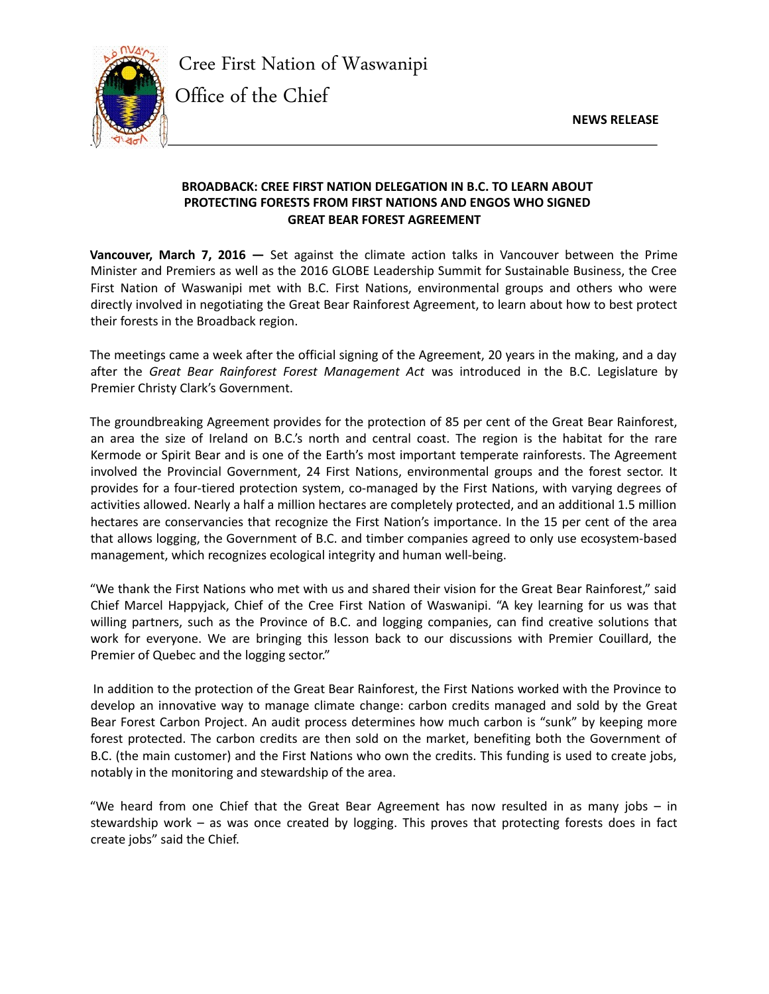**NEWS RELEASE**



Cree First Nation of Waswanipi

Office of the Chief

## **BROADBACK: CREE FIRST NATION DELEGATION IN B.C. TO LEARN ABOUT PROTECTING FORESTS FROM FIRST NATIONS AND ENGOS WHO SIGNED GREAT BEAR FOREST AGREEMENT**

**Vancouver, March 7, 2016 —** Set against the climate action talks in Vancouver between the Prime Minister and Premiers as well as the 2016 GLOBE Leadership Summit for Sustainable Business, the Cree First Nation of Waswanipi met with B.C. First Nations, environmental groups and others who were directly involved in negotiating the Great Bear Rainforest Agreement, to learn about how to best protect their forests in the Broadback region.

The meetings came a week after the official signing of the Agreement, 20 years in the making, and a day after the *Great Bear Rainforest Forest Management Act* was introduced in the B.C. Legislature by Premier Christy Clark's Government.

The groundbreaking Agreement provides for the protection of 85 per cent of the Great Bear Rainforest, an area the size of Ireland on B.C.'s north and central coast. The region is the habitat for the rare Kermode or Spirit Bear and is one of the Earth's most important temperate rainforests. The Agreement involved the Provincial Government, 24 First Nations, environmental groups and the forest sector. It provides for a four-tiered protection system, co-managed by the First Nations, with varying degrees of activities allowed. Nearly a half a million hectares are completely protected, and an additional 1.5 million hectares are conservancies that recognize the First Nation's importance. In the 15 per cent of the area that allows logging, the Government of B.C. and timber companies agreed to only use ecosystem-based management, which recognizes ecological integrity and human well-being.

"We thank the First Nations who met with us and shared their vision for the Great Bear Rainforest," said Chief Marcel Happyjack, Chief of the Cree First Nation of Waswanipi. "A key learning for us was that willing partners, such as the Province of B.C. and logging companies, can find creative solutions that work for everyone. We are bringing this lesson back to our discussions with Premier Couillard, the Premier of Quebec and the logging sector."

 In addition to the protection of the Great Bear Rainforest, the First Nations worked with the Province to develop an innovative way to manage climate change: carbon credits managed and sold by the Great Bear Forest Carbon Project. An audit process determines how much carbon is "sunk" by keeping more forest protected. The carbon credits are then sold on the market, benefiting both the Government of B.C. (the main customer) and the First Nations who own the credits. This funding is used to create jobs, notably in the monitoring and stewardship of the area.

"We heard from one Chief that the Great Bear Agreement has now resulted in as many jobs – in stewardship work – as was once created by logging. This proves that protecting forests does in fact create jobs" said the Chief.